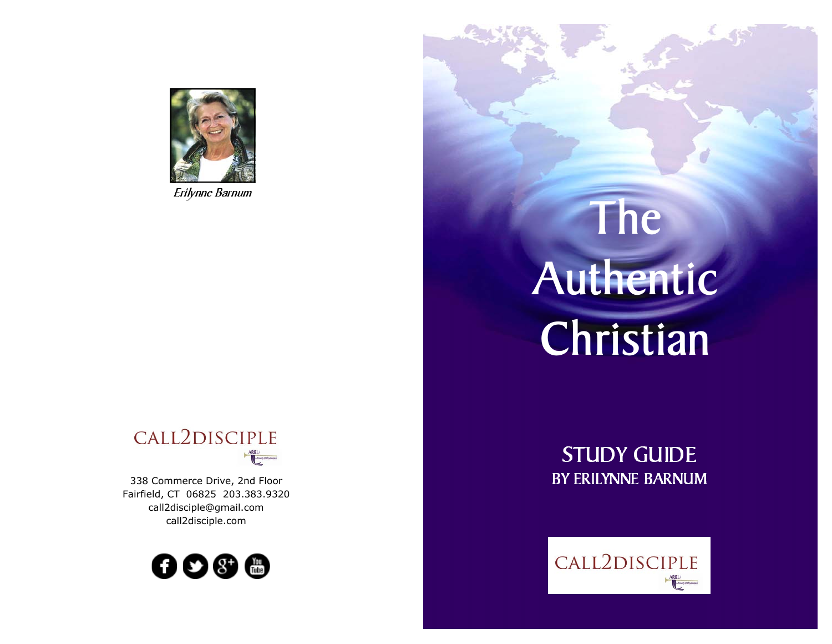

# CALL2DISCIPLE  $\begin{tabular}{|c|c|} \hline ARIEL \\ \hline \hline \end{tabular}$

338 Commerce Drive, 2nd FloorFairfield, CT 06825 203.383.9320call2disciple@gmail.comcall2disciple.com



# Erilynne Barnum The Company of the Company of the Company of the Company of the Company of the Company of the Company of the Company of the Company of the Company of the Company of the Company of the Company of the Company Authentic Christian

STUDY GUIDE BY ERILYNNE BARNUM

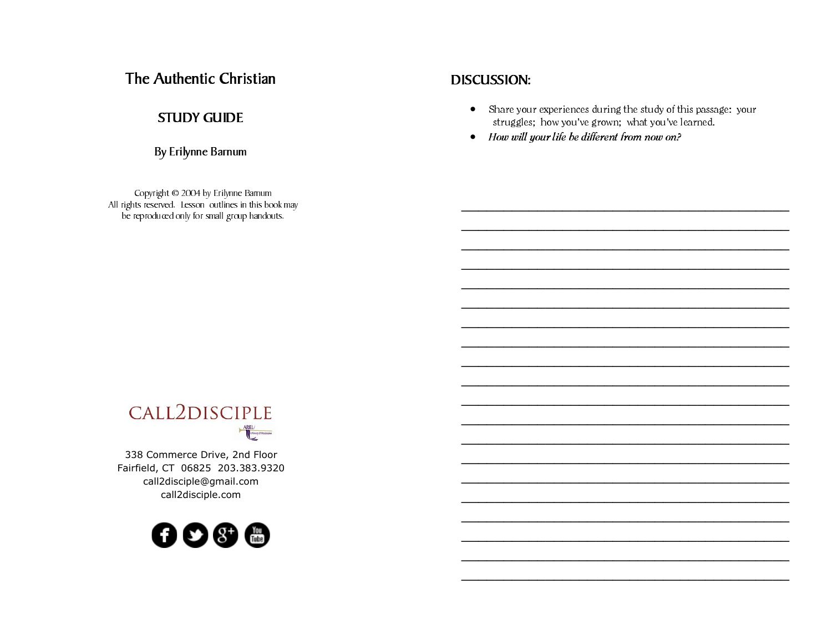# The Authentic Christian

#### STUDY GUIDE

By Erilynne Barnum

Copyright © 2004 by Erilynne Barnum All rights reserved. Lesson outlines in this book may be reproduced only for small group handouts.

#### DISCUSSION:

• Share your experiences during the study of this passage: your struggles; how you've grown; what you've learned.

\_\_\_\_\_\_\_\_\_\_\_\_\_\_\_\_\_\_\_\_\_\_\_\_\_\_\_\_\_\_\_\_\_\_\_\_\_\_\_

\_\_\_\_\_\_\_\_\_\_\_\_\_\_\_\_\_\_\_\_\_\_\_\_\_\_\_\_\_\_\_\_\_\_\_\_\_\_\_

• How will your life be different from now on?



338 Commerce Drive, 2nd Floor Fairfield, CT 06825 203.383.9320call2disciple@gmail.comcall2disciple.com

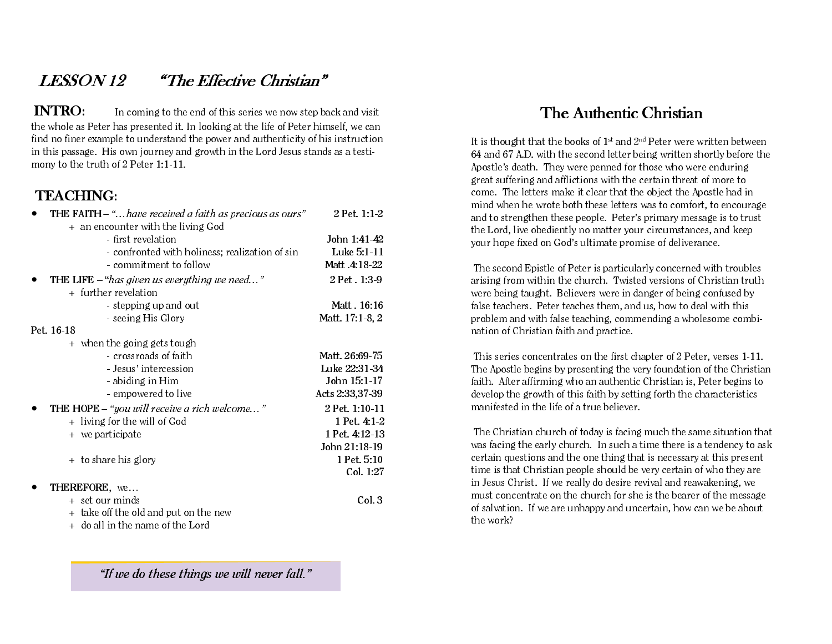# LESSON 12 "The Effective Christian"

INTRO: In coming to the end of this series we now step back and visit the whole as Peter has presented it. In looking at the life of Peter himself, we can find no finer example to understand the power and authenticity of his instruction in this passage. His own journey and growth in the Lord Jesus stands as a testimony to the truth of 2 Peter 1:1-11.

## TEACHING:

| <b>THE FAITH</b> $-$ " have received a faith as precious as ours" | 2 Pet. 1:1-2    |
|-------------------------------------------------------------------|-----------------|
| + an encounter with the living God                                |                 |
| - first revelation                                                | John 1:41-42    |
| - confronted with holiness; realization of sin                    | Luke 5:1-11     |
| - commitment to follow                                            | Matt .4:18-22   |
| THE LIFE – "has given us every thing we need"                     | 2 Pet . 1:3-9   |
| + further revelation                                              |                 |
| - stepping up and out                                             | Matt. 16:16     |
| - seeing His Glory                                                | Matt. 17:1-8, 2 |
| Pet. 16-18                                                        |                 |
| + when the going gets tough                                       |                 |
| - crossroads of faith                                             | Matt. 26:69-75  |
| - Jesus' intercession                                             | Luke 22:31-34   |
| - abiding in Him                                                  | John 15:1-17    |
| - empowered to live                                               | Acts 2:33,37-39 |
| THE HOPE $-$ "you will receive a rich welcome"                    | 2 Pet. 1:10-11  |
| + living for the will of God                                      | 1 Pet. 4:1-2    |
| + we participate                                                  | 1 Pet. 4:12-13  |
|                                                                   | John 21:18-19   |
| + to share his glory                                              | 1 Pet. 5:10     |
|                                                                   | Col. 1:27       |
| THEREFORE, we                                                     |                 |
| + set our minds                                                   | Col. 3          |
| + take off the old and put on the new                             |                 |
| + do all in the name of the Lord                                  |                 |

"If we do these things we will never fall."

# The Authentic Christian

It is thought that the books of  $1<sup>st</sup>$  and  $2<sup>nd</sup>$  Peter were written between 64 and 67 A.D. with the second letter being written shortly before the Apostle's death. They were penned for those who were enduring great suffering and afflictions with the certain threat of more to come. The letters make it clear that the object the Apostle had in mind when he wrote both these letters was to comfort, to encourage and to strengthen these people. Peter's primary message is to trust the Lord, live obediently no matter your circumstances, and keep your hope fixed on God's ultimate promise of deliverance.

 The second Epistle of Peter is particularly concerned with troubles arising from within the church. Twisted versions of Christian truth were being taught. Believers were in danger of being confused by false teachers. Peter teaches them, and us, how to deal with this problem and with false teaching, commending a wholesome combination of Christian faith and practice.

 This series concentrates on the first chapter of 2 Peter, verses 1-11. The Apostle begins by presenting the very foundation of the Christian faith. After affirming who an authentic Christian is, Peter begins to develop the growth of this faith by setting forth the characteristics manifested in the life of a true believer.

 The Christian church of today is facing much the same situation that was facing the early church. In such a time there is a tendency to ask certain questions and the one thing that is necessary at this present time is that Christian people should be very certain of who they are in Jesus Christ. If we really do desire revival and reawakening, we must concentrate on the church for she is the bearer of the message of salvation. If we are unhappy and uncertain, how can we be about the work?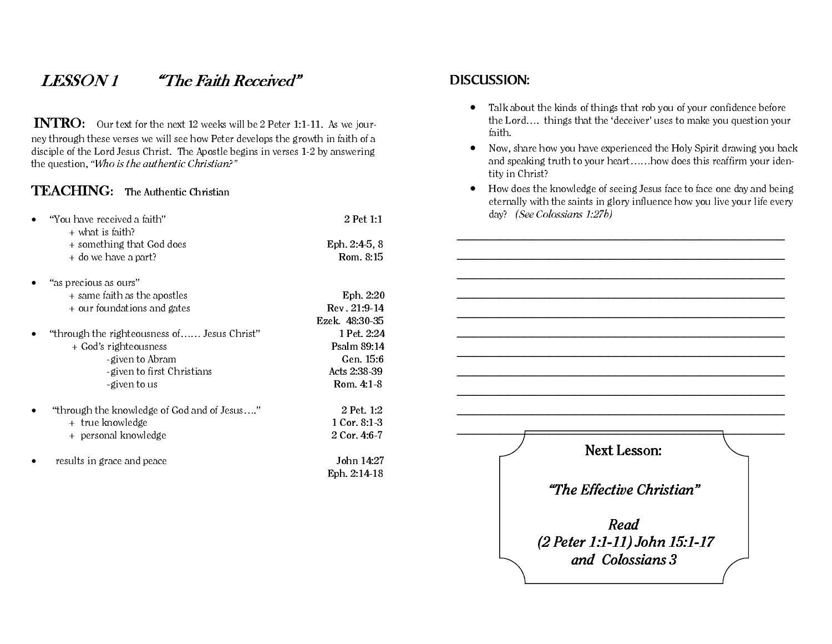# LESSON 1 "The Faith Received"

INTRO: Our text for the next 12 weeks will be 2 Peter 1:1-11. As we journey through these verses we will see how Peter develops the growth in faith of a disciple of the Lord Jesus Christ. The Apostle begins in verses 1-2 by answering the question, "Who is the authentic Christian?"

#### TEACHING: The Authentic Christian

| "You have received a faith"                                             | 2 Pet 1:1                 |
|-------------------------------------------------------------------------|---------------------------|
| $+$ what is faith?<br>+ something that God does<br>+ do we have a part? | Eph. 2:4-5.8<br>Rom. 8:15 |

- • "as precious as ours" + same faith as the apostles Eph. 2:20 + our foundations and gates Rev . 21:9-14 Ezek. 48:30-35
- •"through the righteousness of...... Jesus Christ" 1 Pet. 2:24 <sup>+</sup> God's righteousness Psalm 89:14 -given to Abram Gen. 15:6 -given to first Christians **Acts** 2:38-39 -given to us Rom. 4:1-8
- •"through the knowledge of God and of Jesus...." 2 Pet. 1:2 <sup>+</sup> true knowledge 1 Cor. 8:1-3
	- + personal knowledge 2 Cor. 4:6-7
- •results in grace and peace  $\qquad \qquad$  John 14:27

Eph. 2:14-18

#### DISCUSSION:

- Talk about the kinds of things that rob you of your confidence before the Lord…. things that the 'deceiver' uses to make you question your faith.
- • Now, share how you have experienced the Holy Spirit drawing you back and speaking truth to your heart……how does this reaffirm your identity in Christ?
- How does the knowledge of seeing Jesus face to face one day and being eternally with the saints in glory influence how you live your life every day? (See Colossians 1:27b)

\_\_\_\_\_\_\_\_\_\_\_\_\_\_\_\_\_\_\_\_\_\_\_\_\_\_\_\_\_\_\_\_\_\_\_\_\_\_\_ Next Lesson: "The Effective Christian" Read (2 Peter 1:1-11) John 15:1-17 and Colossians 3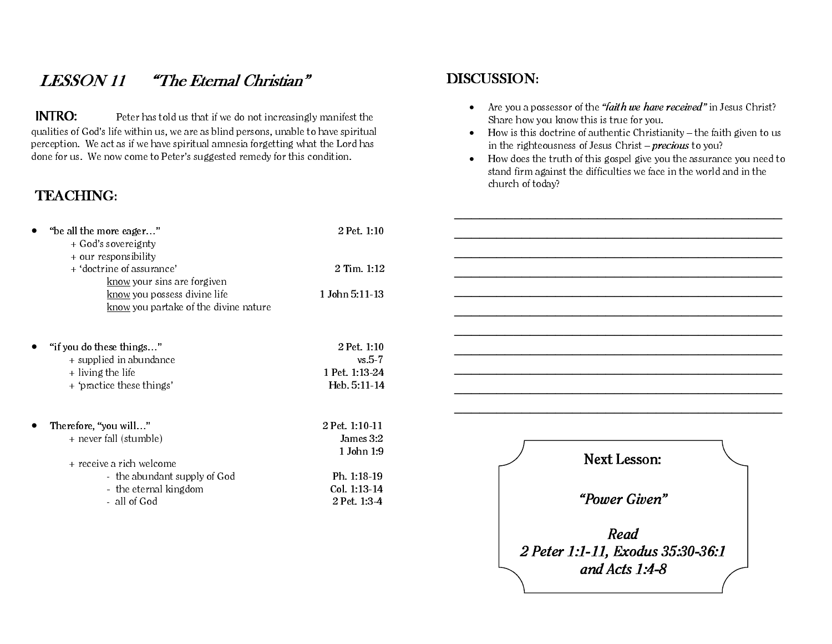# LESSON 11 "The Eternal Christian"

INTRO: Peter has told us that if we do not increasingly manifest the qualities of God's life within us, we are as blind persons, unable to have spiritual perception. We act as if we have spiritual amnesia forgetting what the Lord has done for us. We now come to Peter's suggested remedy for this condition.

## TEACHING:

| "be all the more eager"<br>+ God's sovereignty<br>+ our responsibility                                      | 2 Pet. 1:10                                                |
|-------------------------------------------------------------------------------------------------------------|------------------------------------------------------------|
| + 'doctrine of assurance'                                                                                   | $2$ Tim. $1:12$                                            |
| <u>know</u> your sins are forgiven<br>know you possess divine life<br>know you partake of the divine nature | 1 John 5:11-13                                             |
| "if you do these things"<br>+ supplied in abundance<br>+ living the life<br>+ 'practice these things'       | 2 Pet. 1:10<br>$vs. 5-7$<br>1 Pet. 1:13-24<br>Heb. 5:11-14 |
| Therefore, "you will"<br>+ never fall (stumble)                                                             | 2 Pet. 1:10-11<br>James 3:2                                |

#### <sup>+</sup> receive a rich welcome- the abundant supply of God**carrow Ph. 1:18-19** - the eternal kingdom Col. 1:13-14

1 John 1:9

2 Pet. 1:3-4

- all of God

#### DISCUSSION:

- Are you a possessor of the *"faith we have received" in Jesus Christ?* Share how you know this is true for you.
- How is this doctrine of authentic Christianity the faith given to us in the righteousness of Jesus Christ –  $precious$  to you?
- How does the truth of this gospel give you the assurance you need to stand firm against the difficulties we face in the world and in the church of today?



 $-$  . The contribution of the contribution of  $\mathcal{L}_\mathcal{A}$  , we can also the contribution of  $\mathcal{L}_\mathcal{A}$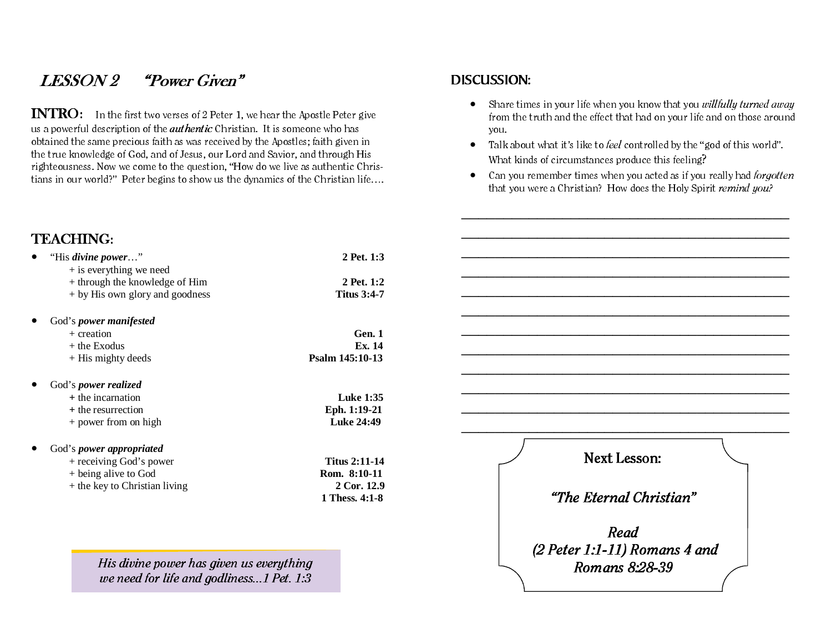# LESSON 2 "Power Given"

INTRO: In the first two verses of 2 Peter 1, we hear the Apostle Peter give us a powerful description of the *authentic* Christian. It is someone who has obtained the same precious faith as was received by the Apostles; faith given in the true knowledge of God, and of Jesus, our Lord and Savior, and through His righteousness. Now we come to the question, "How do we live as authentic Christians in our world?" Peter begins to show us the dynamics of the Christian life….

#### TEACHING:

| $\bullet$ | "His divine power"              | 2 Pet. 1:3         |
|-----------|---------------------------------|--------------------|
|           | $+$ is everything we need       |                    |
|           | + through the knowledge of Him  | 2 Pet. 1:2         |
|           | + by His own glory and goodness | <b>Titus 3:4-7</b> |
|           |                                 |                    |

#### $\bullet$ God's *power manifested*

| Gen. 1          |
|-----------------|
| Ex. 14          |
| Psalm 145:10-13 |
|                 |

#### $\bullet$ God's *power realized*

| + the incarnation    | <b>Luke 1:35</b>  |
|----------------------|-------------------|
| + the resurrection   | Eph. 1:19-21      |
| + power from on high | <b>Luke 24:49</b> |

#### •God's *power appropriated*

| + receiving God's power       |  |
|-------------------------------|--|
| + being alive to God          |  |
| + the key to Christian living |  |

<sup>+</sup> receiving God's power **Titus 2:11-14**  <sup>+</sup> being alive to God **Rom. 8:10-11** <sup>+</sup> the key to Christian living **2 Cor. 12.9 1 Thess. 4:1-8**

His divine power has given us everything we need for life and godliness...1 Pet. 1:3

#### DISCUSSION:

- $\bullet$  Share times in your life when you know that you *willfully turned away* from the truth and the effect that had on your life and on those around you.
- $\bullet$ Talk about what it's like to *feel* controlled by the "god of this world". What kinds of circumstances produce this feeling?
- $\bullet$  Can you remember times when you acted as if you really had *forgotten* that you were a Christian? How does the Holy Spirit remind you?

Next Lesson: "The Eternal Christian" Read (2 Peter 1:1-11) Romans 4 and Romans 8:28-39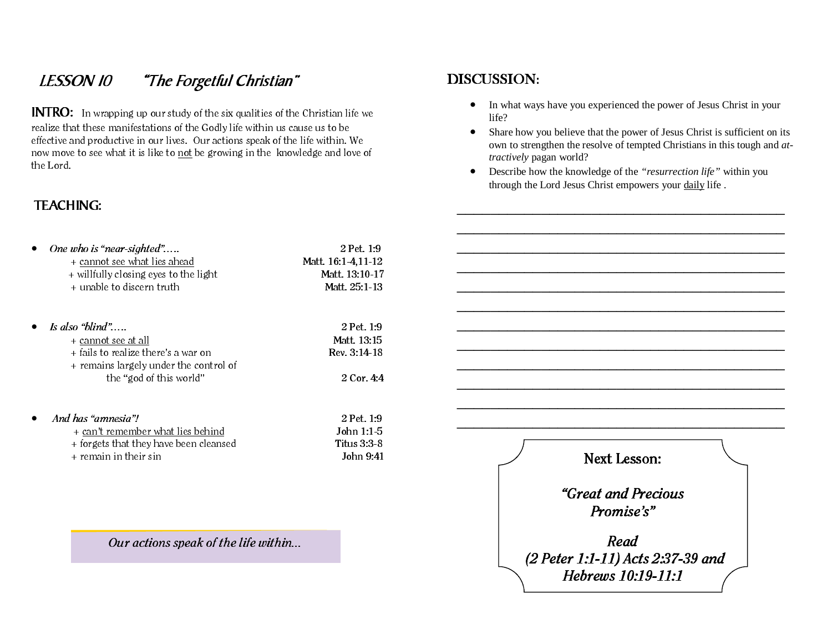# LESSON 10 "The Forgetful Christian"

INTRO: In wrapping up our study of the six qualities of the Christian life we realize that these manifestations of the Godly life within us cause us to be effective and productive in our lives. Our actions speak of the life within. We now move to see what it is like to not be growing in the knowledge and love of the Lord.

#### TEACHING:

| One who is "near-sighted"                                                                                               | 2 Pet. 1:9                                  |
|-------------------------------------------------------------------------------------------------------------------------|---------------------------------------------|
| + cannot see what lies ahead                                                                                            | Matt. 16:1-4,11-12                          |
| + willfully closing eyes to the light                                                                                   | Matt. 13:10-17                              |
| + unable to discern truth                                                                                               | Matt. 25:1-13                               |
| Is also "blind"<br>+ cannot see at all<br>+ fails to realize there's a war on<br>+ remains largely under the control of | 2 Pet. 1:9<br>Matt. 13:15<br>$Rev. 3:14-18$ |
| the "god of this world"                                                                                                 | 2 Cor. 4:4                                  |
| And has "amnesia"!                                                                                                      | 2 Pet. 1:9                                  |
| + can't remember what lies behind                                                                                       | John $1:1-5$                                |
| + forgets that they have been cleansed                                                                                  | Titus $3.3-8$                               |
| $+$ remain in their sin                                                                                                 | John 9:41                                   |

Our actions speak of the life within...

#### DISCUSSION:

- In what ways have you experienced the power of Jesus Christ in your life?
- Share how you believe that the power of Jesus Christ is sufficient on its own to strengthen the resolve of tempted Christians in this tough and *attractively* pagan world?
- Describe how the knowledge of the *"resurrection life"* within you through the Lord Jesus Christ empowers your daily life .

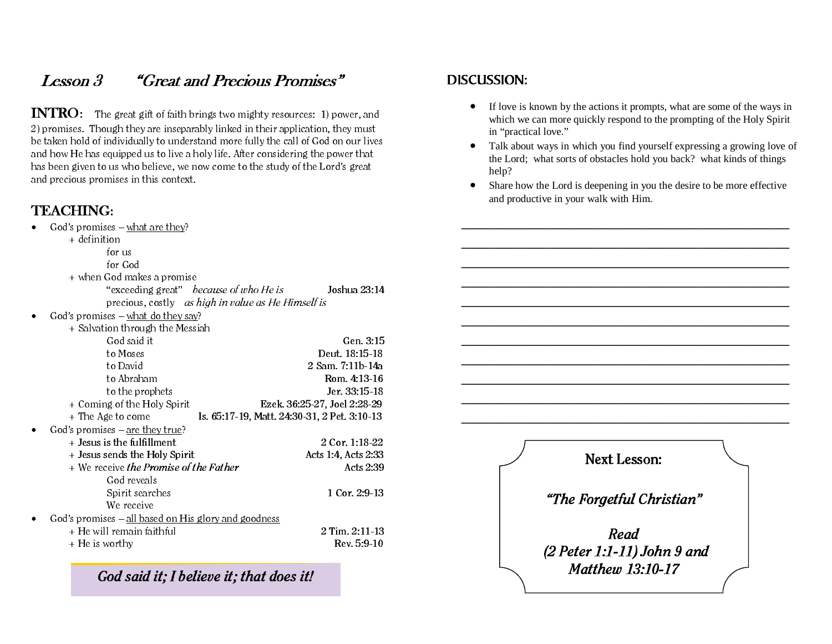# Lesson 3 "Great and Precious Promises"

INTRO: The great gift of faith brings two mighty resources: 1) power, and 2) promises. Though they are inseparably linked in their application, they must be taken hold of individually to understand more fully the call of God on our lives and how He has equipped us to live a holy life. After considering the power that has been given to us who believe, we now come to the study of the Lord's great and precious promises in this context.

## TEACHING:

God's promises – what are they?

+ definition

| $+$ uemmuon                                          |                                              |
|------------------------------------------------------|----------------------------------------------|
| for us                                               |                                              |
| for God                                              |                                              |
| + when God makes a promise                           |                                              |
| "exceeding great" <i>because of who He is</i>        | Joshua 23:14                                 |
| precious, costly as high in value as He Himself is   |                                              |
| God's promises $-\text{what do they say?}$           |                                              |
| + Salvation through the Messiah                      |                                              |
| God said it                                          | Gen. 3:15                                    |
| to Moses                                             | Deut. 18:15-18                               |
| to David                                             | 2 Sam. 7:11b-14a                             |
| to Abraham                                           | Rom. 4:13-16                                 |
| to the prophets                                      | Jer. 33:15-18                                |
| + Coming of the Holy Spirit                          | Ezek. 36:25-27, Joel 2:28-29                 |
| + The Age to come                                    | Is. 65:17-19, Matt. 24:30-31, 2 Pet. 3:10-13 |
| God's promises $-\underline{\text{are they true}}$ ? |                                              |
| + Jesus is the fulfillment                           | 2 Cor. 1:18-22                               |
| + Jesus sends the Holy Spirit                        | Acts 1:4, Acts 2:33                          |
| + We receive the Promise of the Father               | Acts 2:39                                    |
| God reveals                                          |                                              |
| Spirit searches                                      | 1 Cor. 2:9-13                                |
| We receive                                           |                                              |
| God's promises – all based on His glory and goodness |                                              |
| + He will remain faithful                            | 2 Tim. 2:11-13                               |
| + He is worthy                                       | $Rev. 5.9-10$                                |
|                                                      |                                              |

God said it; I believe it; that does it!

#### DISCUSSION:

- If love is known by the actions it prompts, what are some of the ways in which we can more quickly respond to the prompting of the Holy Spirit in "practical love."
- Talk about ways in which you find yourself expressing a growing love of the Lord; what sorts of obstacles hold you back? what kinds of things help?
- Share how the Lord is deepening in you the desire to be more effective and productive in your walk with Him.

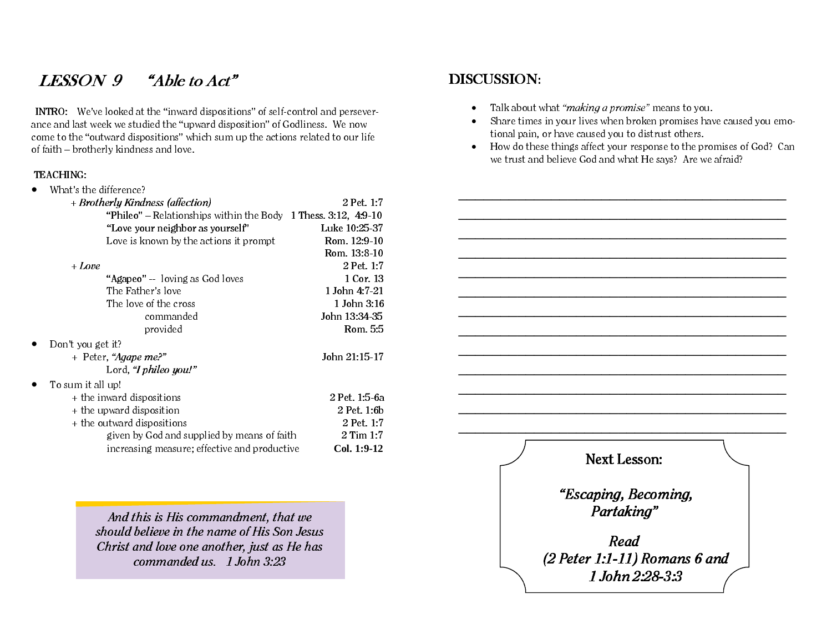# LESSON 9 "Able to Act"

INTRO: We've looked at the "inward dispositions" of self-control and perseverance and last week we studied the "upward disposition" of Godliness. We now come to the "outward dispositions" which sum up the actions related to our life of faith – brotherly kindness and love.

#### TEACHING:

| What's the difference?                                         |               |
|----------------------------------------------------------------|---------------|
| + Brotherly Kindness (affection)                               | 2 Pet. 1:7    |
| "Phileo" – Relationships within the Body 1 Thess. 3:12, 4:9-10 |               |
| "Love your neighbor as yourself"                               | Luke 10:25-37 |
| Love is known by the actions it prompt                         | Rom. 12:9-10  |
|                                                                | Rom. 13:8-10  |
| + Love                                                         | 2 Pet. 1:7    |
| "Agapeo" -- loving as God loves                                | 1 Cor. 13     |
| The Father's love                                              | 1 John 4:7-21 |
| The love of the cross                                          | 1 John 3:16   |
| commanded                                                      | John 13:34-35 |
| provided                                                       | Rom. 5:5      |
| Don't you get it?                                              |               |
| + Peter, "Agape me?"                                           | John 21:15-17 |
| Lord, "I phileo you!"                                          |               |
| To sum it all up!                                              |               |
| + the inward dispositions                                      | 2 Pet. 1:5-6a |
| + the upward disposition                                       | 2 Pet. 1:6b   |
| + the outward dispositions                                     | 2 Pet. 1:7    |
| given by God and supplied by means of faith                    | 2 Tim 1:7     |
| increasing measure; effective and productive                   | Col. 1:9-12   |
|                                                                |               |

And this is His commandment, that we should believe in the name of His Son Jesus Christ and love one another, just as He has commanded us. 1 John 3:23

#### DISCUSSION:

- •Talk about what "*making a promise*" means to you.
- • Share times in your lives when broken promises have caused you emotional pain, or have caused you to distrust others.
- How do these things affect your response to the promises of God? Can we trust and believe God and what He says? Are we afraid?

Next Lesson: "Escaping, Becoming, Partaking" Read (2 Peter 1:1-11) Romans 6 and 1 John 2:28-3:3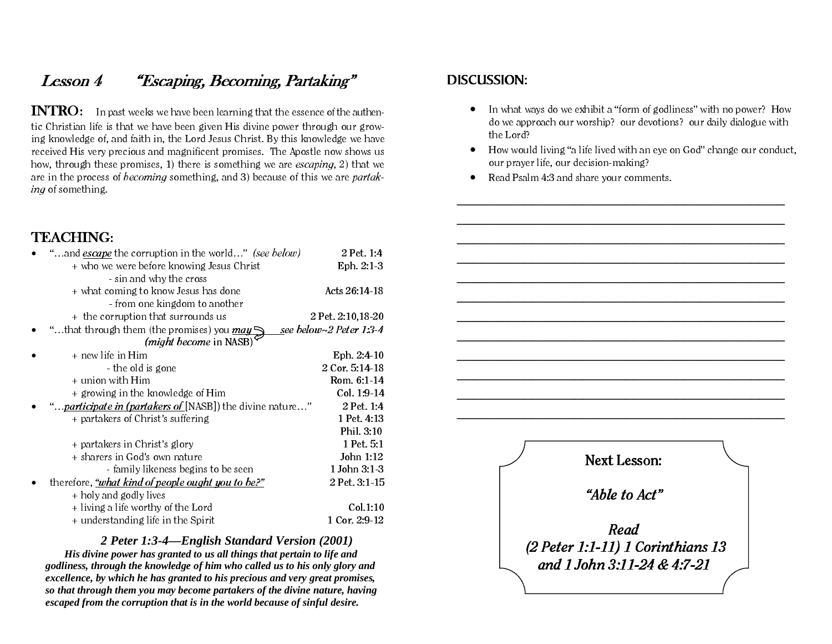# Lesson 4 "Escaping, Becoming, Partaking"

INTRO: In past weeks we have been learning that the essence of the authentic Christian life is that we have been given His divine power through our growing knowledge of, and faith in, the Lord Jesus Christ. By this knowledge we have received His very precious and magnificent promises. The Apostle now shows us how, through these promises, 1) there is something we are escaping, 2) that we are in the process of *becoming* something, and 3) because of this we are *partak*ing of something.

#### TEACHING:

| "and <i>escape</i> the corruption in the world" <i>(see below)</i>     | 2 Pet. 1:4                     |
|------------------------------------------------------------------------|--------------------------------|
| + who we were before knowing Jesus Christ                              | Eph. 2:1-3                     |
| - sin and why the cross                                                |                                |
| + what coming to know Jesus has done                                   | Acts 26:14-18                  |
| - from one kingdom to another                                          |                                |
| + the corruption that surrounds us                                     | 2 Pet. 2:10,18-20              |
| "that through them (the promises) you <i>may</i> $\blacktriangleright$ | see below $\sim$ 2 Peter 1:3-4 |
| (might become in NASB)                                                 |                                |
| + new life in Him                                                      | Eph. $2:4-10$                  |
| - the old is gone                                                      | 2 Cor. 5:14-18                 |
| + union with Him                                                       | Rom. 6:1-14                    |
| + growing in the knowledge of Him                                      | Col. 1:9-14                    |
| " <i>participate in (partakers of</i> [NASB]) the divine nature"       | 2 Pet. 1:4                     |
| + partakers of Christ's suffering                                      | 1 Pet. 4:13                    |
|                                                                        | Phil. 3:10                     |
| + partakers in Christ's glory                                          | 1 Pet. 5:1                     |
| + sharers in God's own nature                                          | John 1:12                      |
| - family likeness begins to be seen                                    | 1 John 3:1-3                   |
| therefore, <i>"what kind of people ought you to be?"</i>               | 2 Pet. 3:1-15                  |
| + holy and godly lives                                                 |                                |
| + living a life worthy of the Lord                                     | Col.1:10                       |
| + understanding life in the Spirit                                     | 1 Cor. 2:9-12                  |

#### *2 Peter 1:3-4—English Standard Version (2001)*

*His divine power has granted to us all things that pertain to life and godliness, through the knowledge of him who called us to his only glory and excellence, by which he has granted to his precious and very great promises, so that through them you may become partakers of the divine nature, having escaped from the corruption that is in the world because of sinful desire.* 

#### DISCUSSION:

- In what ways do we exhibit a "form of godliness" with no power? How do we approach our worship? our devotions? our daily dialogue with the Lord?
- How would living "a life lived with an eye on God" change our conduct, our prayer life, our decision-making?
- Read Psalm 4:3 and share your comments.

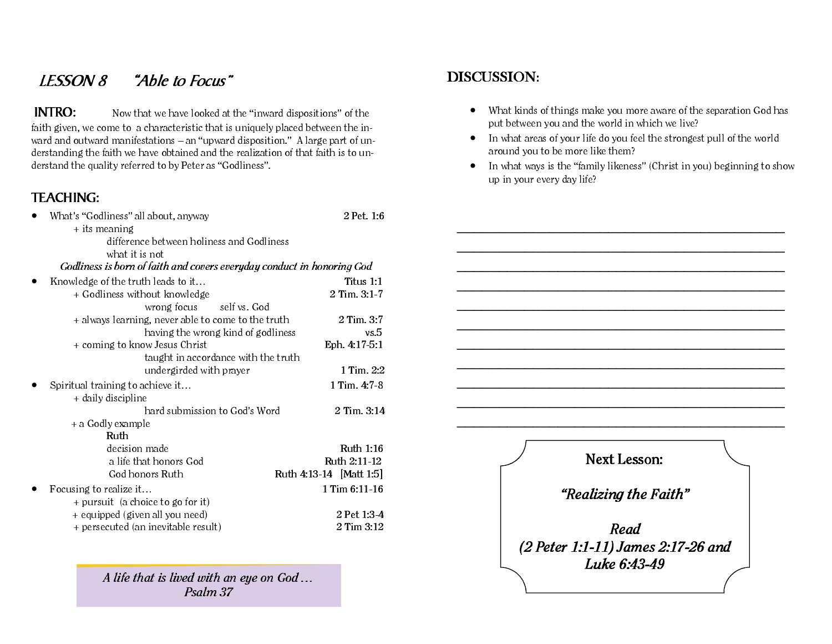# LESSON 8 "Able to Focus"

INTRO: Now that we have looked at the "inward dispositions" of the faith given, we come to a characteristic that is uniquely placed between the inward and outward manifestations – an "upward disposition." A large part of understanding the faith we have obtained and the realization of that faith is to understand the quality referred to by Peter as "Godliness".

# TEACHING:

| What's "Godliness" all about, anyway                                   | 2 Pet. 1:6              |
|------------------------------------------------------------------------|-------------------------|
| $+$ its meaning                                                        |                         |
| difference between holiness and Godliness                              |                         |
| what it is not                                                         |                         |
| Godliness is born of faith and covers everyday conduct in honoring God |                         |
| Knowledge of the truth leads to it                                     | Titus $1:1$             |
| + Godliness without knowledge                                          | 2 Tim. 3:1-7            |
| wrong focus<br>self vs. God                                            |                         |
| + always learning, never able to come to the truth                     | 2 Tim. 3:7              |
| having the wrong kind of godliness                                     | vs.5                    |
| + coming to know Jesus Christ                                          | Eph. 4:17-5:1           |
| taught in accordance with the truth                                    |                         |
| undergirded with prayer                                                | 1 Tim. 2:2              |
| Spiritual training to achieve it                                       | 1 Tim. 4:7-8            |
| + daily discipline                                                     |                         |
| hard submission to God's Word                                          | 2 Tim. 3:14             |
| + a Godly example                                                      |                         |
| Ruth                                                                   |                         |
| decision made                                                          | Ruth 1:16               |
| a life that honors God                                                 | Ruth 2:11-12            |
| God honors Ruth                                                        | Ruth 4:13-14 [Matt 1:5] |
| Focusing to realize it                                                 | $1$ Tim $6:11-16$       |
| + pursuit (a choice to go for it)                                      |                         |
| + equipped (given all you need)                                        | 2 Pet 1:3-4             |
| + persecuted (an inevitable result)                                    | 2 Tim 3:12              |

A life that is lived with an eye on God … Psalm 37

#### DISCUSSION:

- What kinds of things make you more aware of the separation God has put between you and the world in which we live?
- In what areas of your life do you feel the strongest pull of the world around you to be more like them?
- In what ways is the "family likeness" (Christ in you) beginning to show up in your every day life?

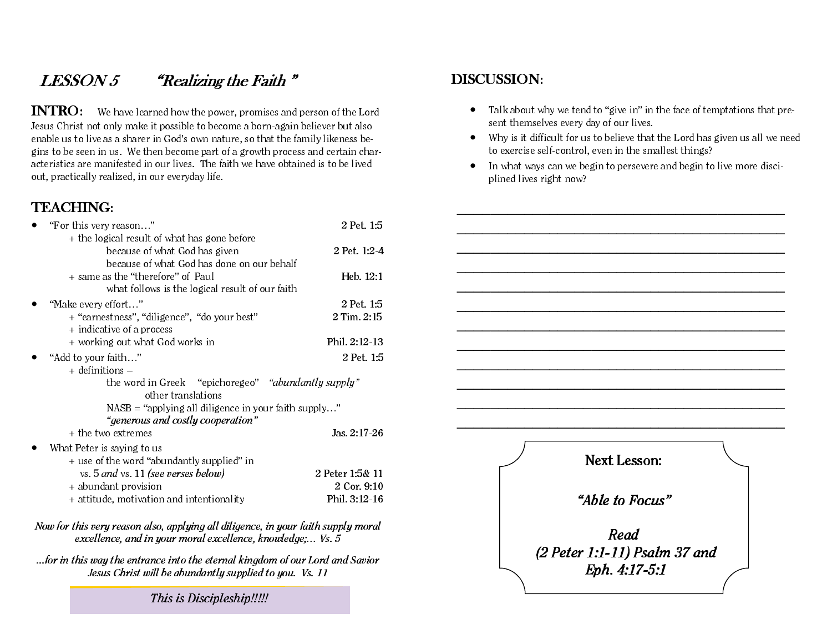# $LESSON 5$  "Realizing the Faith"

INTRO: We have learned how the power, promises and person of the Lord Jesus Christ not only make it possible to become a born-again believer but also enable us to live as a sharer in God's own nature, so that the family likeness begins to be seen in us. We then become part of a growth process and certain characteristics are manifested in our lives. The faith we have obtained is to be lived out, practically realized, in our everyday life.

#### TEACHING:

| "For this very reason"                                 | 2 Pet. 1:5      |
|--------------------------------------------------------|-----------------|
| + the logical result of what has gone before           |                 |
| because of what God has given                          | 2 Pet. 1:2-4    |
| because of what God has done on our behalf             |                 |
| + same as the "therefore" of Paul                      | Heb. 12:1       |
| what follows is the logical result of our faith        |                 |
| "Make every effort"                                    | 2 Pet. 1:5      |
| + "earnestness", "diligence", "do your best"           | 2 Tim. 2:15     |
| + indicative of a process                              |                 |
| + working out what God works in                        | Phil. 2:12-13   |
| "Add to your faith"                                    | 2 Pet. 1:5      |
| $+$ definitions $-$                                    |                 |
| the word in Greek "epichoregeo" "abundantly supply"    |                 |
| other translations                                     |                 |
| $NASB$ = "applying all diligence in your faith supply" |                 |
| "generous and costly cooperation"                      |                 |
| + the two extremes                                     | Jas. 2:17-26    |
| What Peter is saying to us                             |                 |
| + use of the word "abundantly supplied" in             |                 |
| vs. $5$ and vs. $11$ (see verses below)                | 2 Peter 1:5& 11 |
| + abundant provision                                   | 2 Cor. 9:10     |
| + attitude, motivation and intentionality              | Phil. 3:12-16   |
|                                                        |                 |

Now for this very reason also, applying all diligence, in your faith supply moral excellence, and in your moral excellence, knowledge;… Vs. 5

...for in this way the entrance into the eternal kingdom of our Lord and Savior Jesus Christ will be abundantly supplied to you. Vs. 11

This is Discipleship!!!!!

### DISCUSSION:

- Talk about why we tend to "give in" in the face of temptations that present themselves every day of our lives.
- Why is it difficult for us to believe that the Lord has given us all we need to exercise self-control, even in the smallest things?
- In what ways can we begin to persevere and begin to live more disciplined lives right now?

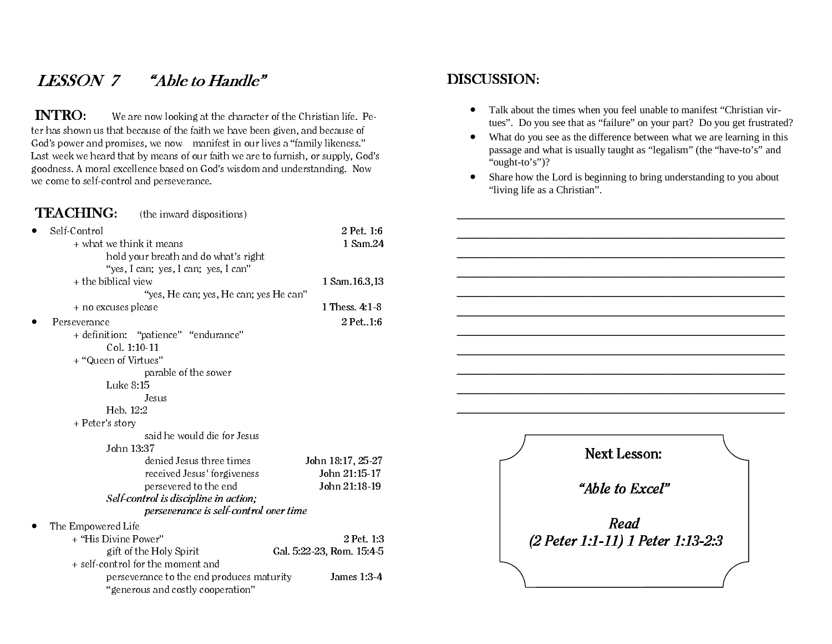# LESSON 7 "Able to Handle"

 INTRO: We are now looking at the character of the Christian life. Peter has shown us that because of the faith we have been given, and because of God's power and promises, we now manifest in our lives a "family likeness." Last week we heard that by means of our faith we are to furnish, or supply, God's goodness. A moral excellence based on God's wisdom and understanding. Now we come to self-control and perseverance.

#### TEACHING: (the inward dispositions)

| Self-Control<br>$\bullet$                 | 2 Pet. 1:6                |
|-------------------------------------------|---------------------------|
| + what we think it means                  | 1 Sam.24                  |
| hold your breath and do what's right      |                           |
| "yes, I can; yes, I can; yes, I can"      |                           |
| + the biblical view                       | 1 Sam. 16.3, 13           |
| "yes, He can; yes, He can; yes He can"    |                           |
| + no excuses please                       | 1 Thess. 4:1-8            |
| Perseverance                              | $2$ Pet1:6                |
| + definition: "patience" "endurance"      |                           |
| Col. 1:10-11                              |                           |
| + "Queen of Virtues"                      |                           |
| parable of the sower                      |                           |
| Luke 8:15                                 |                           |
| Jesus                                     |                           |
| Heb. 12:2                                 |                           |
| + Peter's story                           |                           |
| said he would die for Jesus               |                           |
| John 13:37                                |                           |
| denied Jesus three times                  | John 18:17, 25-27         |
| received Jesus' forgiveness               | John 21:15-17             |
| persevered to the end                     | John 21:18-19             |
| Self-control is discipline in action;     |                           |
| perseverance is self-control over time    |                           |
| The Empowered Life                        |                           |
| + "His Divine Power"                      | 2 Pet. 1:3                |
| gift of the Holy Spirit                   | Gal. 5:22-23, Rom. 15:4-5 |
| + self-control for the moment and         |                           |
| perseverance to the end produces maturity | James $1:3.4$             |
| "generous and costly cooperation"         |                           |

#### DISCUSSION:

- Talk about the times when you feel unable to manifest "Christian virtues". Do you see that as "failure" on your part? Do you get frustrated?
- What do you see as the difference between what we are learning in this passage and what is usually taught as "legalism" (the "have-to's" and "ought-to's")?
- Share how the Lord is beginning to bring understanding to you about "living life as a Christian".